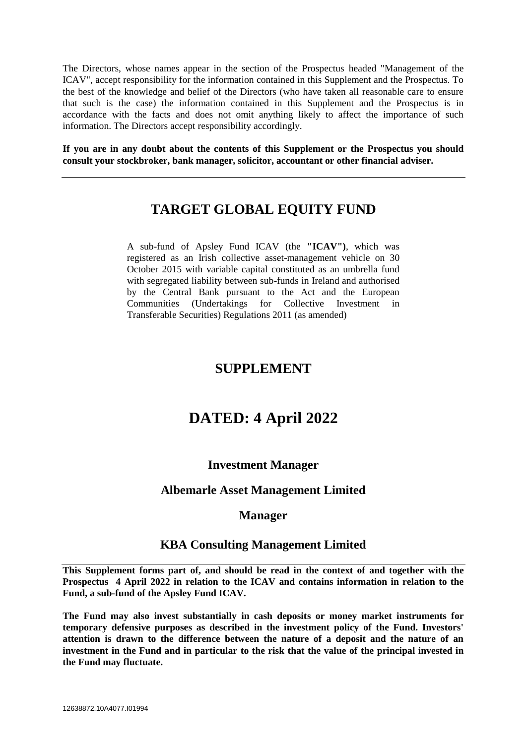The Directors, whose names appear in the section of the Prospectus headed "Management of the ICAV", accept responsibility for the information contained in this Supplement and the Prospectus. To the best of the knowledge and belief of the Directors (who have taken all reasonable care to ensure that such is the case) the information contained in this Supplement and the Prospectus is in accordance with the facts and does not omit anything likely to affect the importance of such information. The Directors accept responsibility accordingly.

**If you are in any doubt about the contents of this Supplement or the Prospectus you should consult your stockbroker, bank manager, solicitor, accountant or other financial adviser.**

## **TARGET GLOBAL EQUITY FUND**

A sub-fund of Apsley Fund ICAV (the **"ICAV")**, which was registered as an Irish collective asset-management vehicle on 30 October 2015 with variable capital constituted as an umbrella fund with segregated liability between sub-funds in Ireland and authorised by the Central Bank pursuant to the Act and the European Communities (Undertakings for Collective Investment in Transferable Securities) Regulations 2011 (as amended)

## **SUPPLEMENT**

# **DATED: 4 April 2022**

## **Investment Manager**

## **Albemarle Asset Management Limited**

## **Manager**

## **KBA Consulting Management Limited**

**This Supplement forms part of, and should be read in the context of and together with the Prospectus 4 April 2022 in relation to the ICAV and contains information in relation to the Fund, a sub-fund of the Apsley Fund ICAV.** 

**The Fund may also invest substantially in cash deposits or money market instruments for temporary defensive purposes as described in the investment policy of the Fund. Investors' attention is drawn to the difference between the nature of a deposit and the nature of an investment in the Fund and in particular to the risk that the value of the principal invested in the Fund may fluctuate.**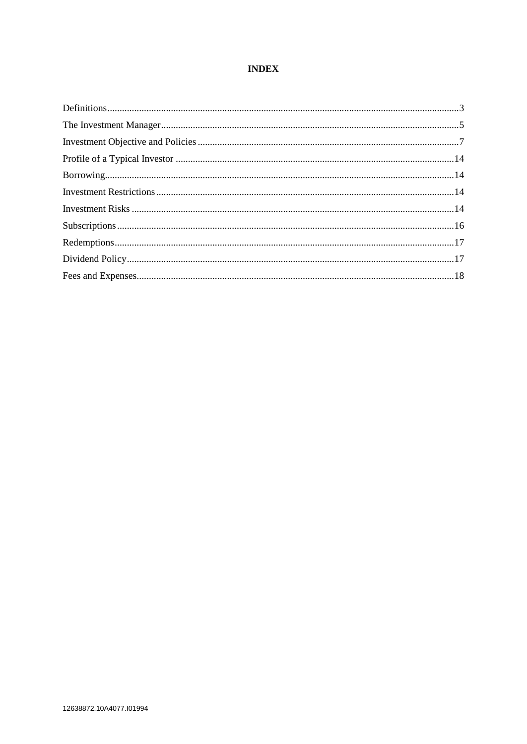## **INDEX**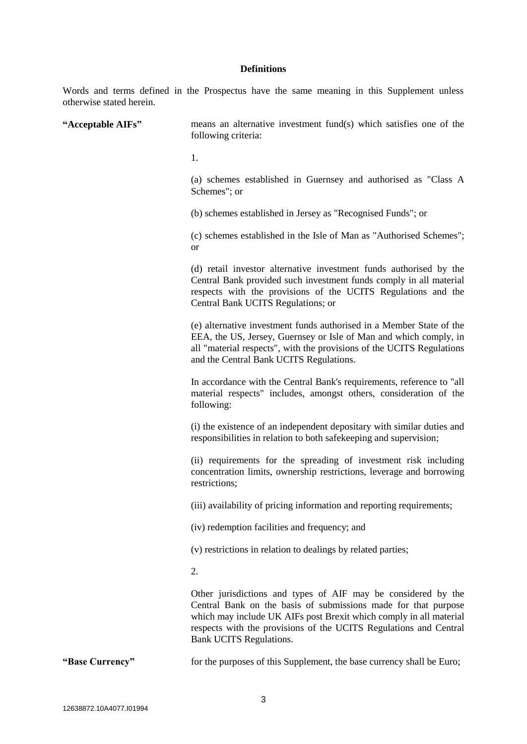#### **Definitions**

Words and terms defined in the Prospectus have the same meaning in this Supplement unless otherwise stated herein.

**"Acceptable AIFs"** means an alternative investment fund(s) which satisfies one of the following criteria: 1. (a) schemes established in Guernsey and authorised as "Class A Schemes"; or (b) schemes established in Jersey as "Recognised Funds"; or (c) schemes established in the Isle of Man as "Authorised Schemes"; or (d) retail investor alternative investment funds authorised by the Central Bank provided such investment funds comply in all material respects with the provisions of the UCITS Regulations and the Central Bank UCITS Regulations; or (e) alternative investment funds authorised in a Member State of the EEA, the US, Jersey, Guernsey or Isle of Man and which comply, in all "material respects", with the provisions of the UCITS Regulations and the Central Bank UCITS Regulations. In accordance with the Central Bank's requirements, reference to "all material respects" includes, amongst others, consideration of the following: (i) the existence of an independent depositary with similar duties and responsibilities in relation to both safekeeping and supervision; (ii) requirements for the spreading of investment risk including concentration limits, ownership restrictions, leverage and borrowing restrictions; (iii) availability of pricing information and reporting requirements; (iv) redemption facilities and frequency; and (v) restrictions in relation to dealings by related parties; 2. Other jurisdictions and types of AIF may be considered by the Central Bank on the basis of submissions made for that purpose which may include UK AIFs post Brexit which comply in all material respects with the provisions of the UCITS Regulations and Central Bank UCITS Regulations. **"Base Currency"** for the purposes of this Supplement, the base currency shall be Euro;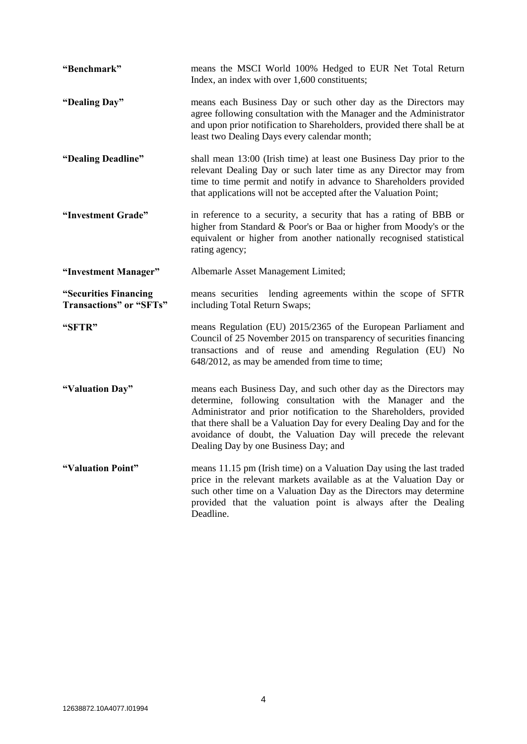| "Benchmark"                                             | means the MSCI World 100% Hedged to EUR Net Total Return<br>Index, an index with over 1,600 constituents;                                                                                                                                                                                                                                                                                |  |  |  |
|---------------------------------------------------------|------------------------------------------------------------------------------------------------------------------------------------------------------------------------------------------------------------------------------------------------------------------------------------------------------------------------------------------------------------------------------------------|--|--|--|
| "Dealing Day"                                           | means each Business Day or such other day as the Directors may<br>agree following consultation with the Manager and the Administrator<br>and upon prior notification to Shareholders, provided there shall be at<br>least two Dealing Days every calendar month;                                                                                                                         |  |  |  |
| "Dealing Deadline"                                      | shall mean 13:00 (Irish time) at least one Business Day prior to the<br>relevant Dealing Day or such later time as any Director may from<br>time to time permit and notify in advance to Shareholders provided<br>that applications will not be accepted after the Valuation Point;                                                                                                      |  |  |  |
| "Investment Grade"                                      | in reference to a security, a security that has a rating of BBB or<br>higher from Standard & Poor's or Baa or higher from Moody's or the<br>equivalent or higher from another nationally recognised statistical<br>rating agency;                                                                                                                                                        |  |  |  |
| "Investment Manager"                                    | Albemarle Asset Management Limited;                                                                                                                                                                                                                                                                                                                                                      |  |  |  |
| "Securities Financing<br><b>Transactions" or "SFTs"</b> | means securities lending agreements within the scope of SFTR<br>including Total Return Swaps;                                                                                                                                                                                                                                                                                            |  |  |  |
| "SFTR"                                                  | means Regulation (EU) 2015/2365 of the European Parliament and<br>Council of 25 November 2015 on transparency of securities financing<br>transactions and of reuse and amending Regulation (EU) No<br>648/2012, as may be amended from time to time;                                                                                                                                     |  |  |  |
| "Valuation Day"                                         | means each Business Day, and such other day as the Directors may<br>determine, following consultation with the Manager and the<br>Administrator and prior notification to the Shareholders, provided<br>that there shall be a Valuation Day for every Dealing Day and for the<br>avoidance of doubt, the Valuation Day will precede the relevant<br>Dealing Day by one Business Day; and |  |  |  |
| "Valuation Point"                                       | means 11.15 pm (Irish time) on a Valuation Day using the last traded<br>price in the relevant markets available as at the Valuation Day or<br>such other time on a Valuation Day as the Directors may determine<br>provided that the valuation point is always after the Dealing<br>Deadline.                                                                                            |  |  |  |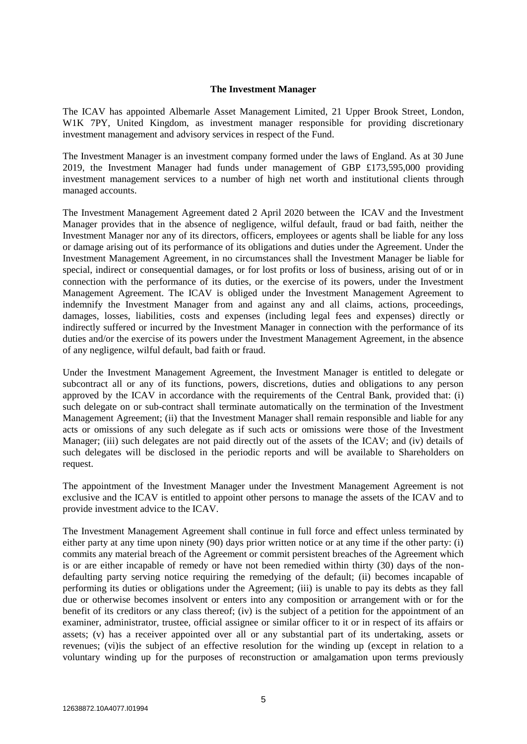#### **The Investment Manager**

The ICAV has appointed Albemarle Asset Management Limited, 21 Upper Brook Street, London, W1K 7PY, United Kingdom, as investment manager responsible for providing discretionary investment management and advisory services in respect of the Fund.

The Investment Manager is an investment company formed under the laws of England. As at 30 June 2019, the Investment Manager had funds under management of GBP £173,595,000 providing investment management services to a number of high net worth and institutional clients through managed accounts.

The Investment Management Agreement dated 2 April 2020 between the ICAV and the Investment Manager provides that in the absence of negligence, wilful default, fraud or bad faith, neither the Investment Manager nor any of its directors, officers, employees or agents shall be liable for any loss or damage arising out of its performance of its obligations and duties under the Agreement. Under the Investment Management Agreement, in no circumstances shall the Investment Manager be liable for special, indirect or consequential damages, or for lost profits or loss of business, arising out of or in connection with the performance of its duties, or the exercise of its powers, under the Investment Management Agreement. The ICAV is obliged under the Investment Management Agreement to indemnify the Investment Manager from and against any and all claims, actions, proceedings, damages, losses, liabilities, costs and expenses (including legal fees and expenses) directly or indirectly suffered or incurred by the Investment Manager in connection with the performance of its duties and/or the exercise of its powers under the Investment Management Agreement, in the absence of any negligence, wilful default, bad faith or fraud.

Under the Investment Management Agreement, the Investment Manager is entitled to delegate or subcontract all or any of its functions, powers, discretions, duties and obligations to any person approved by the ICAV in accordance with the requirements of the Central Bank, provided that: (i) such delegate on or sub-contract shall terminate automatically on the termination of the Investment Management Agreement; (ii) that the Investment Manager shall remain responsible and liable for any acts or omissions of any such delegate as if such acts or omissions were those of the Investment Manager; (iii) such delegates are not paid directly out of the assets of the ICAV; and (iv) details of such delegates will be disclosed in the periodic reports and will be available to Shareholders on request.

The appointment of the Investment Manager under the Investment Management Agreement is not exclusive and the ICAV is entitled to appoint other persons to manage the assets of the ICAV and to provide investment advice to the ICAV.

The Investment Management Agreement shall continue in full force and effect unless terminated by either party at any time upon ninety (90) days prior written notice or at any time if the other party: (i) commits any material breach of the Agreement or commit persistent breaches of the Agreement which is or are either incapable of remedy or have not been remedied within thirty (30) days of the nondefaulting party serving notice requiring the remedying of the default; (ii) becomes incapable of performing its duties or obligations under the Agreement; (iii) is unable to pay its debts as they fall due or otherwise becomes insolvent or enters into any composition or arrangement with or for the benefit of its creditors or any class thereof; (iv) is the subject of a petition for the appointment of an examiner, administrator, trustee, official assignee or similar officer to it or in respect of its affairs or assets; (v) has a receiver appointed over all or any substantial part of its undertaking, assets or revenues; (vi)is the subject of an effective resolution for the winding up (except in relation to a voluntary winding up for the purposes of reconstruction or amalgamation upon terms previously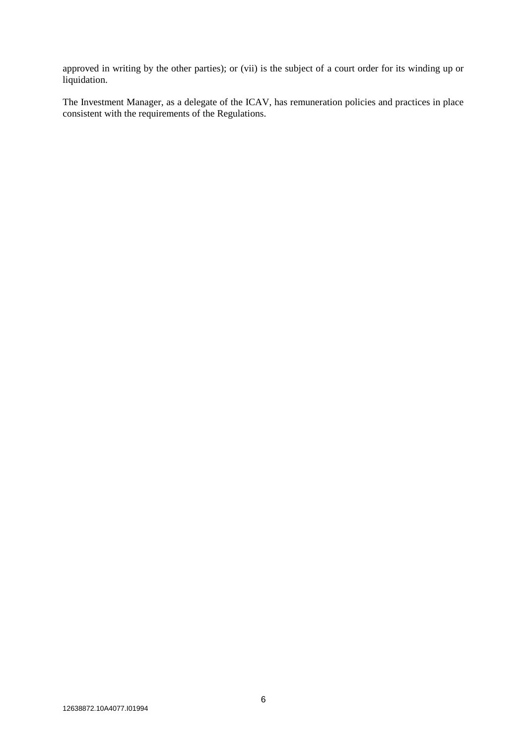approved in writing by the other parties); or (vii) is the subject of a court order for its winding up or liquidation.

The Investment Manager, as a delegate of the ICAV, has remuneration policies and practices in place consistent with the requirements of the Regulations.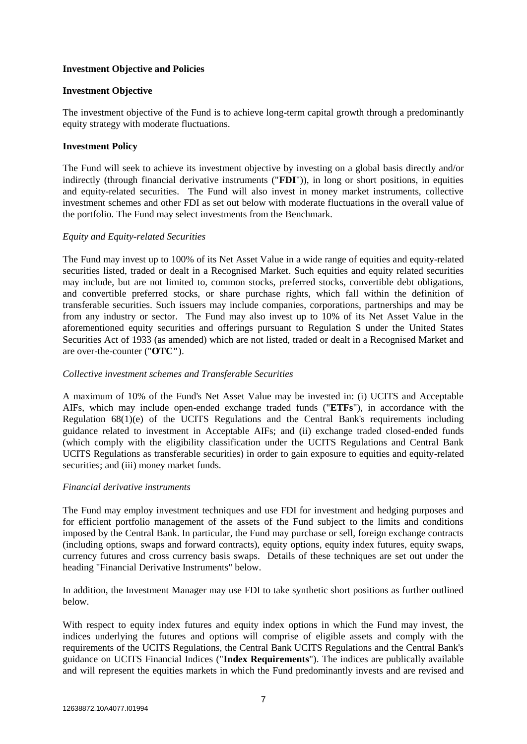#### **Investment Objective and Policies**

#### **Investment Objective**

The investment objective of the Fund is to achieve long-term capital growth through a predominantly equity strategy with moderate fluctuations.

#### **Investment Policy**

The Fund will seek to achieve its investment objective by investing on a global basis directly and/or indirectly (through financial derivative instruments ("**FDI**")), in long or short positions, in equities and equity-related securities. The Fund will also invest in money market instruments, collective investment schemes and other FDI as set out below with moderate fluctuations in the overall value of the portfolio. The Fund may select investments from the Benchmark.

#### *Equity and Equity-related Securities*

The Fund may invest up to 100% of its Net Asset Value in a wide range of equities and equity-related securities listed, traded or dealt in a Recognised Market. Such equities and equity related securities may include, but are not limited to, common stocks, preferred stocks, convertible debt obligations, and convertible preferred stocks, or share purchase rights, which fall within the definition of transferable securities. Such issuers may include companies, corporations, partnerships and may be from any industry or sector. The Fund may also invest up to 10% of its Net Asset Value in the aforementioned equity securities and offerings pursuant to Regulation S under the United States Securities Act of 1933 (as amended) which are not listed, traded or dealt in a Recognised Market and are over-the-counter ("**OTC"**).

#### *Collective investment schemes and Transferable Securities*

A maximum of 10% of the Fund's Net Asset Value may be invested in: (i) UCITS and Acceptable AIFs, which may include open-ended exchange traded funds ("**ETFs**"), in accordance with the Regulation 68(1)(e) of the UCITS Regulations and the Central Bank's requirements including guidance related to investment in Acceptable AIFs; and (ii) exchange traded closed-ended funds (which comply with the eligibility classification under the UCITS Regulations and Central Bank UCITS Regulations as transferable securities) in order to gain exposure to equities and equity-related securities; and (iii) money market funds.

#### *Financial derivative instruments*

The Fund may employ investment techniques and use FDI for investment and hedging purposes and for efficient portfolio management of the assets of the Fund subject to the limits and conditions imposed by the Central Bank. In particular, the Fund may purchase or sell, foreign exchange contracts (including options, swaps and forward contracts), equity options, equity index futures, equity swaps, currency futures and cross currency basis swaps. Details of these techniques are set out under the heading "Financial Derivative Instruments" below.

In addition, the Investment Manager may use FDI to take synthetic short positions as further outlined below.

With respect to equity index futures and equity index options in which the Fund may invest, the indices underlying the futures and options will comprise of eligible assets and comply with the requirements of the UCITS Regulations, the Central Bank UCITS Regulations and the Central Bank's guidance on UCITS Financial Indices ("**Index Requirements**"). The indices are publically available and will represent the equities markets in which the Fund predominantly invests and are revised and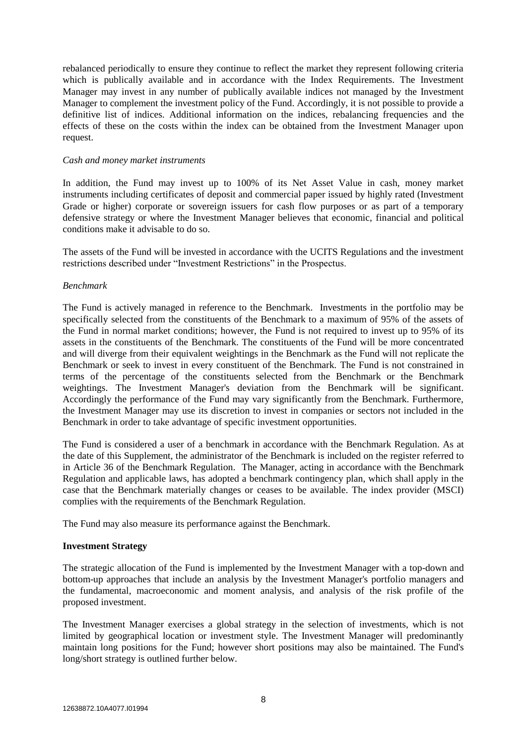rebalanced periodically to ensure they continue to reflect the market they represent following criteria which is publically available and in accordance with the Index Requirements. The Investment Manager may invest in any number of publically available indices not managed by the Investment Manager to complement the investment policy of the Fund. Accordingly, it is not possible to provide a definitive list of indices. Additional information on the indices, rebalancing frequencies and the effects of these on the costs within the index can be obtained from the Investment Manager upon request.

#### *Cash and money market instruments*

In addition, the Fund may invest up to 100% of its Net Asset Value in cash, money market instruments including certificates of deposit and commercial paper issued by highly rated (Investment Grade or higher) corporate or sovereign issuers for cash flow purposes or as part of a temporary defensive strategy or where the Investment Manager believes that economic, financial and political conditions make it advisable to do so.

The assets of the Fund will be invested in accordance with the UCITS Regulations and the investment restrictions described under "Investment Restrictions" in the Prospectus.

#### *Benchmark*

The Fund is actively managed in reference to the Benchmark. Investments in the portfolio may be specifically selected from the constituents of the Benchmark to a maximum of 95% of the assets of the Fund in normal market conditions; however, the Fund is not required to invest up to 95% of its assets in the constituents of the Benchmark. The constituents of the Fund will be more concentrated and will diverge from their equivalent weightings in the Benchmark as the Fund will not replicate the Benchmark or seek to invest in every constituent of the Benchmark. The Fund is not constrained in terms of the percentage of the constituents selected from the Benchmark or the Benchmark weightings. The Investment Manager's deviation from the Benchmark will be significant. Accordingly the performance of the Fund may vary significantly from the Benchmark. Furthermore, the Investment Manager may use its discretion to invest in companies or sectors not included in the Benchmark in order to take advantage of specific investment opportunities.

The Fund is considered a user of a benchmark in accordance with the Benchmark Regulation. As at the date of this Supplement, the administrator of the Benchmark is included on the register referred to in Article 36 of the Benchmark Regulation. The Manager, acting in accordance with the Benchmark Regulation and applicable laws, has adopted a benchmark contingency plan, which shall apply in the case that the Benchmark materially changes or ceases to be available. The index provider (MSCI) complies with the requirements of the Benchmark Regulation.

The Fund may also measure its performance against the Benchmark.

#### **Investment Strategy**

The strategic allocation of the Fund is implemented by the Investment Manager with a top-down and bottom-up approaches that include an analysis by the Investment Manager's portfolio managers and the fundamental, macroeconomic and moment analysis, and analysis of the risk profile of the proposed investment.

The Investment Manager exercises a global strategy in the selection of investments, which is not limited by geographical location or investment style. The Investment Manager will predominantly maintain long positions for the Fund; however short positions may also be maintained. The Fund's long/short strategy is outlined further below.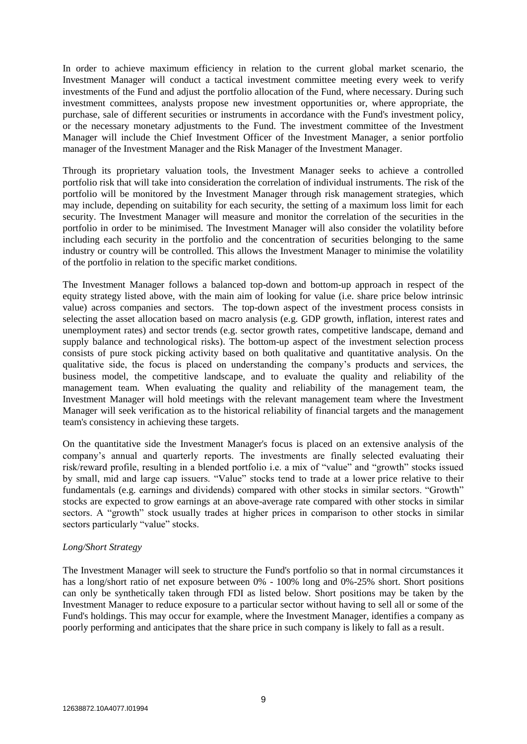In order to achieve maximum efficiency in relation to the current global market scenario, the Investment Manager will conduct a tactical investment committee meeting every week to verify investments of the Fund and adjust the portfolio allocation of the Fund, where necessary. During such investment committees, analysts propose new investment opportunities or, where appropriate, the purchase, sale of different securities or instruments in accordance with the Fund's investment policy, or the necessary monetary adjustments to the Fund. The investment committee of the Investment Manager will include the Chief Investment Officer of the Investment Manager, a senior portfolio manager of the Investment Manager and the Risk Manager of the Investment Manager.

Through its proprietary valuation tools, the Investment Manager seeks to achieve a controlled portfolio risk that will take into consideration the correlation of individual instruments. The risk of the portfolio will be monitored by the Investment Manager through risk management strategies, which may include, depending on suitability for each security, the setting of a maximum loss limit for each security. The Investment Manager will measure and monitor the correlation of the securities in the portfolio in order to be minimised. The Investment Manager will also consider the volatility before including each security in the portfolio and the concentration of securities belonging to the same industry or country will be controlled. This allows the Investment Manager to minimise the volatility of the portfolio in relation to the specific market conditions.

The Investment Manager follows a balanced top-down and bottom-up approach in respect of the equity strategy listed above, with the main aim of looking for value (i.e. share price below intrinsic value) across companies and sectors. The top-down aspect of the investment process consists in selecting the asset allocation based on macro analysis (e.g. GDP growth, inflation, interest rates and unemployment rates) and sector trends (e.g. sector growth rates, competitive landscape, demand and supply balance and technological risks). The bottom-up aspect of the investment selection process consists of pure stock picking activity based on both qualitative and quantitative analysis. On the qualitative side, the focus is placed on understanding the company's products and services, the business model, the competitive landscape, and to evaluate the quality and reliability of the management team. When evaluating the quality and reliability of the management team, the Investment Manager will hold meetings with the relevant management team where the Investment Manager will seek verification as to the historical reliability of financial targets and the management team's consistency in achieving these targets.

On the quantitative side the Investment Manager's focus is placed on an extensive analysis of the company's annual and quarterly reports. The investments are finally selected evaluating their risk/reward profile, resulting in a blended portfolio i.e. a mix of "value" and "growth" stocks issued by small, mid and large cap issuers. "Value" stocks tend to trade at a lower price relative to their fundamentals (e.g. earnings and dividends) compared with other stocks in similar sectors. "Growth" stocks are expected to grow earnings at an above-average rate compared with other stocks in similar sectors. A "growth" stock usually trades at higher prices in comparison to other stocks in similar sectors particularly "value" stocks.

#### *Long/Short Strategy*

The Investment Manager will seek to structure the Fund's portfolio so that in normal circumstances it has a long/short ratio of net exposure between 0% - 100% long and 0%-25% short. Short positions can only be synthetically taken through FDI as listed below. Short positions may be taken by the Investment Manager to reduce exposure to a particular sector without having to sell all or some of the Fund's holdings. This may occur for example, where the Investment Manager, identifies a company as poorly performing and anticipates that the share price in such company is likely to fall as a result.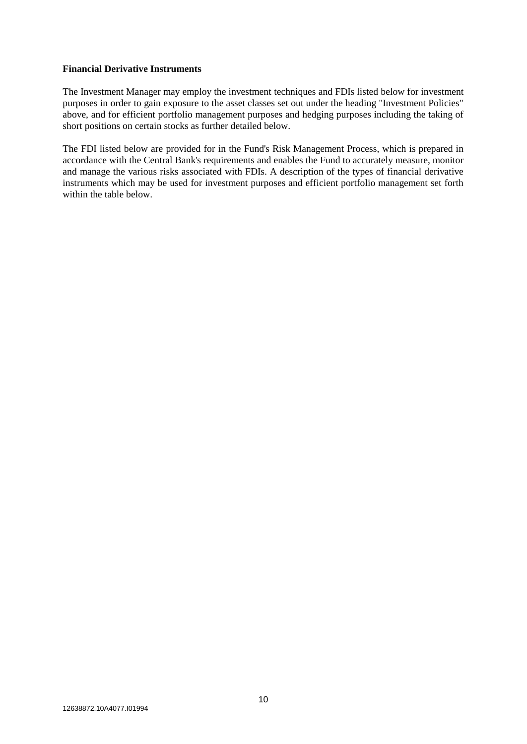#### **Financial Derivative Instruments**

The Investment Manager may employ the investment techniques and FDIs listed below for investment purposes in order to gain exposure to the asset classes set out under the heading "Investment Policies" above, and for efficient portfolio management purposes and hedging purposes including the taking of short positions on certain stocks as further detailed below.

The FDI listed below are provided for in the Fund's Risk Management Process, which is prepared in accordance with the Central Bank's requirements and enables the Fund to accurately measure, monitor and manage the various risks associated with FDIs. A description of the types of financial derivative instruments which may be used for investment purposes and efficient portfolio management set forth within the table below.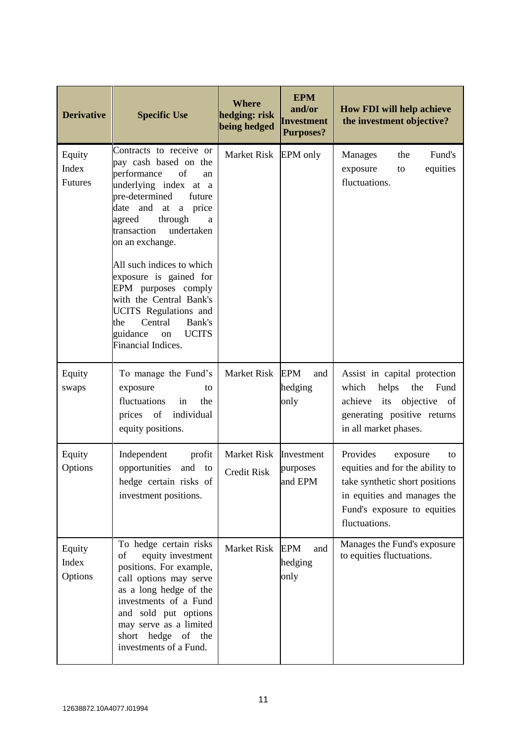| <b>Derivative</b>                 | <b>Specific Use</b>                                                                                                                                                                                                                                                                                                                                                                                                                                           | <b>Where</b><br>hedging: risk<br>being hedged | <b>EPM</b><br>and/or<br><b>Investment</b><br><b>Purposes?</b> | <b>How FDI will help achieve</b><br>the investment objective?                                                                                                                  |  |
|-----------------------------------|---------------------------------------------------------------------------------------------------------------------------------------------------------------------------------------------------------------------------------------------------------------------------------------------------------------------------------------------------------------------------------------------------------------------------------------------------------------|-----------------------------------------------|---------------------------------------------------------------|--------------------------------------------------------------------------------------------------------------------------------------------------------------------------------|--|
| Equity<br>Index<br><b>Futures</b> | Contracts to receive or<br>pay cash based on the<br>performance<br>of<br>an<br>underlying index at a<br>pre-determined<br>future<br>date and<br>at<br>a price<br>agreed<br>through<br>a<br>transaction<br>undertaken<br>on an exchange.<br>All such indices to which<br>exposure is gained for<br>EPM purposes comply<br>with the Central Bank's<br>UCITS Regulations and<br>Central<br>Bank's<br>the<br><b>UCITS</b><br>guidance<br>on<br>Financial Indices. | Market Risk                                   | <b>EPM</b> only                                               | Fund's<br>Manages<br>the<br>equities<br>exposure<br>to<br>fluctuations.                                                                                                        |  |
| Equity<br>swaps                   | To manage the Fund's<br>exposure<br>to<br>fluctuations<br>in<br>the<br>prices of individual<br>equity positions.                                                                                                                                                                                                                                                                                                                                              | <b>Market Risk</b>                            | <b>EPM</b><br>and<br>hedging<br>only                          | Assist in capital protection<br>helps<br>which<br>the<br>Fund<br>achieve its objective of<br>generating positive returns<br>in all market phases.                              |  |
| Equity<br>Options                 | Independent<br>profit<br>opportunities<br>and<br>to<br>hedge certain risks of<br>investment positions.                                                                                                                                                                                                                                                                                                                                                        | <b>Market Risk</b><br><b>Credit Risk</b>      | Investment<br>purposes<br>and EPM                             | Provides<br>exposure<br>to<br>equities and for the ability to<br>take synthetic short positions<br>in equities and manages the<br>Fund's exposure to equities<br>fluctuations. |  |
| Equity<br>Index<br>Options        | To hedge certain risks<br>equity investment<br>οf<br>positions. For example,<br>call options may serve<br>as a long hedge of the<br>investments of a Fund<br>and sold put options<br>may serve as a limited<br>short hedge of the<br>investments of a Fund.                                                                                                                                                                                                   | <b>Market Risk</b>                            | <b>EPM</b><br>and<br>hedging<br>only                          | Manages the Fund's exposure<br>to equities fluctuations.                                                                                                                       |  |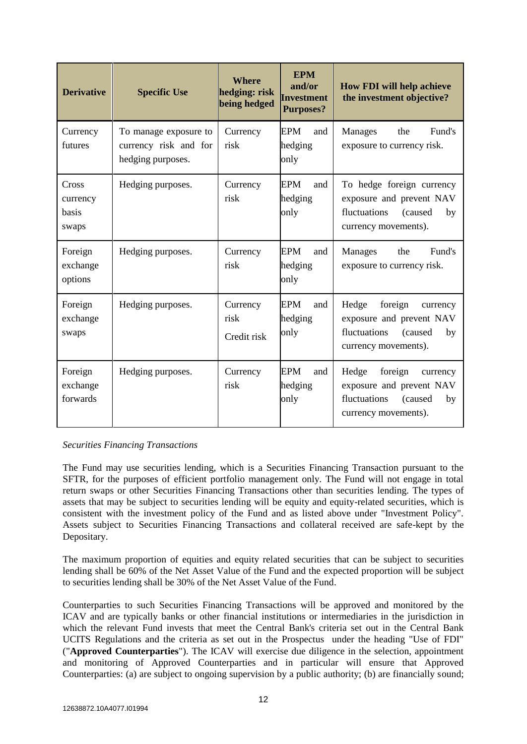| <b>Derivative</b>                   | <b>Specific Use</b>                                                 | <b>Where</b><br>hedging: risk<br>being hedged | <b>EPM</b><br>and/or<br>Investment<br><b>Purposes?</b> | <b>How FDI will help achieve</b><br>the investment objective?                                                      |
|-------------------------------------|---------------------------------------------------------------------|-----------------------------------------------|--------------------------------------------------------|--------------------------------------------------------------------------------------------------------------------|
| Currency<br>futures                 | To manage exposure to<br>currency risk and for<br>hedging purposes. | Currency<br>risk                              | <b>EPM</b><br>and<br>hedging<br>only                   | Fund's<br>Manages<br>the<br>exposure to currency risk.                                                             |
| Cross<br>currency<br>basis<br>swaps | Hedging purposes.                                                   | Currency<br>risk                              | <b>EPM</b><br>and<br>hedging<br>only                   | To hedge foreign currency<br>exposure and prevent NAV<br>fluctuations<br>(caused)<br>by<br>currency movements).    |
| Foreign<br>exchange<br>options      | Hedging purposes.                                                   | Currency<br>risk                              | <b>EPM</b><br>and<br>hedging<br>only                   | the<br>Fund's<br>Manages<br>exposure to currency risk.                                                             |
| Foreign<br>exchange<br>swaps        | Hedging purposes.                                                   | Currency<br>risk<br>Credit risk               | <b>EPM</b><br>and<br>hedging<br>only                   | Hedge<br>foreign<br>currency<br>exposure and prevent NAV<br>fluctuations<br>(caused<br>by<br>currency movements).  |
| Foreign<br>exchange<br>forwards     | Hedging purposes.                                                   | Currency<br>risk                              | <b>EPM</b><br>and<br>hedging<br>only                   | foreign<br>Hedge<br>currency<br>exposure and prevent NAV<br>fluctuations<br>(caused)<br>by<br>currency movements). |

### *Securities Financing Transactions*

The Fund may use securities lending, which is a Securities Financing Transaction pursuant to the SFTR, for the purposes of efficient portfolio management only. The Fund will not engage in total return swaps or other Securities Financing Transactions other than securities lending. The types of assets that may be subject to securities lending will be equity and equity-related securities, which is consistent with the investment policy of the Fund and as listed above under "Investment Policy". Assets subject to Securities Financing Transactions and collateral received are safe-kept by the Depositary.

The maximum proportion of equities and equity related securities that can be subject to securities lending shall be 60% of the Net Asset Value of the Fund and the expected proportion will be subject to securities lending shall be 30% of the Net Asset Value of the Fund.

Counterparties to such Securities Financing Transactions will be approved and monitored by the ICAV and are typically banks or other financial institutions or intermediaries in the jurisdiction in which the relevant Fund invests that meet the Central Bank's criteria set out in the Central Bank UCITS Regulations and the criteria as set out in the Prospectus under the heading "Use of FDI" ("**Approved Counterparties**"). The ICAV will exercise due diligence in the selection, appointment and monitoring of Approved Counterparties and in particular will ensure that Approved Counterparties: (a) are subject to ongoing supervision by a public authority; (b) are financially sound;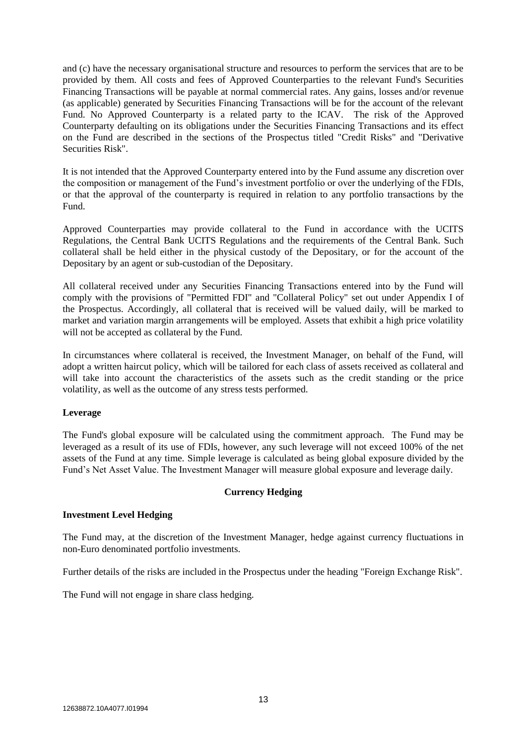and (c) have the necessary organisational structure and resources to perform the services that are to be provided by them. All costs and fees of Approved Counterparties to the relevant Fund's Securities Financing Transactions will be payable at normal commercial rates. Any gains, losses and/or revenue (as applicable) generated by Securities Financing Transactions will be for the account of the relevant Fund. No Approved Counterparty is a related party to the ICAV. The risk of the Approved Counterparty defaulting on its obligations under the Securities Financing Transactions and its effect on the Fund are described in the sections of the Prospectus titled "Credit Risks" and "Derivative Securities Risk".

It is not intended that the Approved Counterparty entered into by the Fund assume any discretion over the composition or management of the Fund's investment portfolio or over the underlying of the FDIs, or that the approval of the counterparty is required in relation to any portfolio transactions by the Fund.

Approved Counterparties may provide collateral to the Fund in accordance with the UCITS Regulations, the Central Bank UCITS Regulations and the requirements of the Central Bank. Such collateral shall be held either in the physical custody of the Depositary, or for the account of the Depositary by an agent or sub-custodian of the Depositary.

All collateral received under any Securities Financing Transactions entered into by the Fund will comply with the provisions of "Permitted FDI" and "Collateral Policy" set out under Appendix I of the Prospectus. Accordingly, all collateral that is received will be valued daily, will be marked to market and variation margin arrangements will be employed. Assets that exhibit a high price volatility will not be accepted as collateral by the Fund.

In circumstances where collateral is received, the Investment Manager, on behalf of the Fund, will adopt a written haircut policy, which will be tailored for each class of assets received as collateral and will take into account the characteristics of the assets such as the credit standing or the price volatility, as well as the outcome of any stress tests performed.

### **Leverage**

The Fund's global exposure will be calculated using the commitment approach. The Fund may be leveraged as a result of its use of FDIs, however, any such leverage will not exceed 100% of the net assets of the Fund at any time. Simple leverage is calculated as being global exposure divided by the Fund's Net Asset Value. The Investment Manager will measure global exposure and leverage daily.

#### **Currency Hedging**

#### **Investment Level Hedging**

The Fund may, at the discretion of the Investment Manager, hedge against currency fluctuations in non-Euro denominated portfolio investments.

Further details of the risks are included in the Prospectus under the heading "Foreign Exchange Risk".

The Fund will not engage in share class hedging.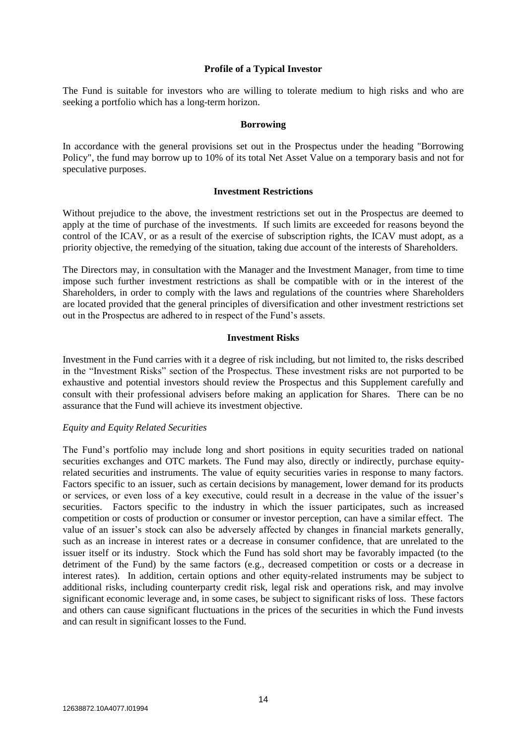#### **Profile of a Typical Investor**

The Fund is suitable for investors who are willing to tolerate medium to high risks and who are seeking a portfolio which has a long-term horizon.

#### **Borrowing**

In accordance with the general provisions set out in the Prospectus under the heading "Borrowing Policy", the fund may borrow up to 10% of its total Net Asset Value on a temporary basis and not for speculative purposes.

#### **Investment Restrictions**

Without prejudice to the above, the investment restrictions set out in the Prospectus are deemed to apply at the time of purchase of the investments. If such limits are exceeded for reasons beyond the control of the ICAV, or as a result of the exercise of subscription rights, the ICAV must adopt, as a priority objective, the remedying of the situation, taking due account of the interests of Shareholders.

The Directors may, in consultation with the Manager and the Investment Manager, from time to time impose such further investment restrictions as shall be compatible with or in the interest of the Shareholders, in order to comply with the laws and regulations of the countries where Shareholders are located provided that the general principles of diversification and other investment restrictions set out in the Prospectus are adhered to in respect of the Fund's assets.

#### **Investment Risks**

Investment in the Fund carries with it a degree of risk including, but not limited to, the risks described in the "Investment Risks" section of the Prospectus. These investment risks are not purported to be exhaustive and potential investors should review the Prospectus and this Supplement carefully and consult with their professional advisers before making an application for Shares. There can be no assurance that the Fund will achieve its investment objective.

#### *Equity and Equity Related Securities*

The Fund's portfolio may include long and short positions in equity securities traded on national securities exchanges and OTC markets. The Fund may also, directly or indirectly, purchase equityrelated securities and instruments. The value of equity securities varies in response to many factors. Factors specific to an issuer, such as certain decisions by management, lower demand for its products or services, or even loss of a key executive, could result in a decrease in the value of the issuer's securities. Factors specific to the industry in which the issuer participates, such as increased competition or costs of production or consumer or investor perception, can have a similar effect. The value of an issuer's stock can also be adversely affected by changes in financial markets generally, such as an increase in interest rates or a decrease in consumer confidence, that are unrelated to the issuer itself or its industry. Stock which the Fund has sold short may be favorably impacted (to the detriment of the Fund) by the same factors (e.g., decreased competition or costs or a decrease in interest rates). In addition, certain options and other equity-related instruments may be subject to additional risks, including counterparty credit risk, legal risk and operations risk, and may involve significant economic leverage and, in some cases, be subject to significant risks of loss. These factors and others can cause significant fluctuations in the prices of the securities in which the Fund invests and can result in significant losses to the Fund.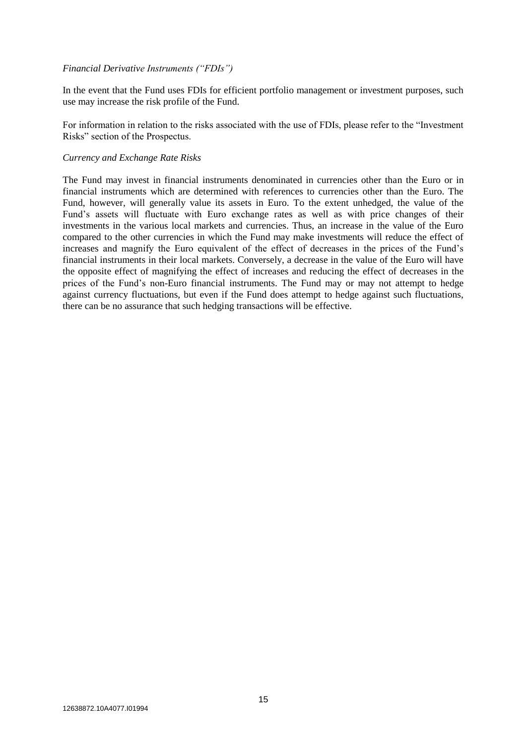#### *Financial Derivative Instruments ("FDIs")*

In the event that the Fund uses FDIs for efficient portfolio management or investment purposes, such use may increase the risk profile of the Fund.

For information in relation to the risks associated with the use of FDIs, please refer to the "Investment Risks" section of the Prospectus.

#### *Currency and Exchange Rate Risks*

The Fund may invest in financial instruments denominated in currencies other than the Euro or in financial instruments which are determined with references to currencies other than the Euro. The Fund, however, will generally value its assets in Euro. To the extent unhedged, the value of the Fund's assets will fluctuate with Euro exchange rates as well as with price changes of their investments in the various local markets and currencies. Thus, an increase in the value of the Euro compared to the other currencies in which the Fund may make investments will reduce the effect of increases and magnify the Euro equivalent of the effect of decreases in the prices of the Fund's financial instruments in their local markets. Conversely, a decrease in the value of the Euro will have the opposite effect of magnifying the effect of increases and reducing the effect of decreases in the prices of the Fund's non-Euro financial instruments. The Fund may or may not attempt to hedge against currency fluctuations, but even if the Fund does attempt to hedge against such fluctuations, there can be no assurance that such hedging transactions will be effective.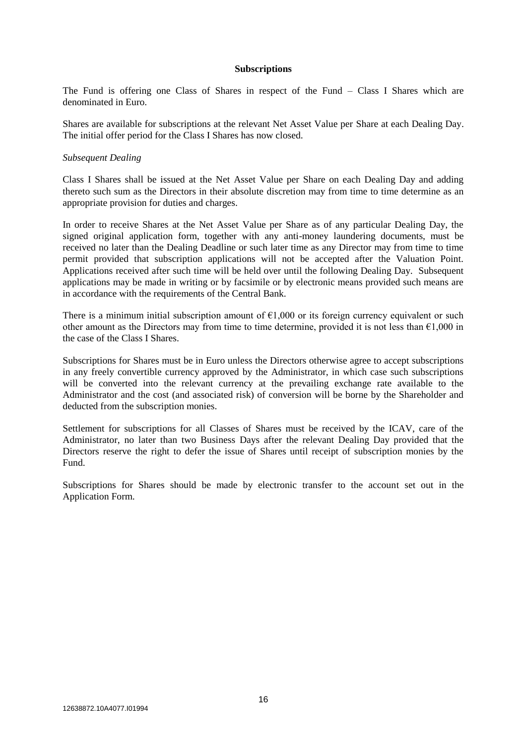#### **Subscriptions**

The Fund is offering one Class of Shares in respect of the Fund – Class I Shares which are denominated in Euro.

Shares are available for subscriptions at the relevant Net Asset Value per Share at each Dealing Day. The initial offer period for the Class I Shares has now closed.

#### *Subsequent Dealing*

Class I Shares shall be issued at the Net Asset Value per Share on each Dealing Day and adding thereto such sum as the Directors in their absolute discretion may from time to time determine as an appropriate provision for duties and charges.

In order to receive Shares at the Net Asset Value per Share as of any particular Dealing Day, the signed original application form, together with any anti-money laundering documents, must be received no later than the Dealing Deadline or such later time as any Director may from time to time permit provided that subscription applications will not be accepted after the Valuation Point. Applications received after such time will be held over until the following Dealing Day. Subsequent applications may be made in writing or by facsimile or by electronic means provided such means are in accordance with the requirements of the Central Bank.

There is a minimum initial subscription amount of  $\epsilon$ 1,000 or its foreign currency equivalent or such other amount as the Directors may from time to time determine, provided it is not less than  $\epsilon$ 1,000 in the case of the Class I Shares.

Subscriptions for Shares must be in Euro unless the Directors otherwise agree to accept subscriptions in any freely convertible currency approved by the Administrator, in which case such subscriptions will be converted into the relevant currency at the prevailing exchange rate available to the Administrator and the cost (and associated risk) of conversion will be borne by the Shareholder and deducted from the subscription monies.

Settlement for subscriptions for all Classes of Shares must be received by the ICAV, care of the Administrator, no later than two Business Days after the relevant Dealing Day provided that the Directors reserve the right to defer the issue of Shares until receipt of subscription monies by the Fund.

Subscriptions for Shares should be made by electronic transfer to the account set out in the Application Form.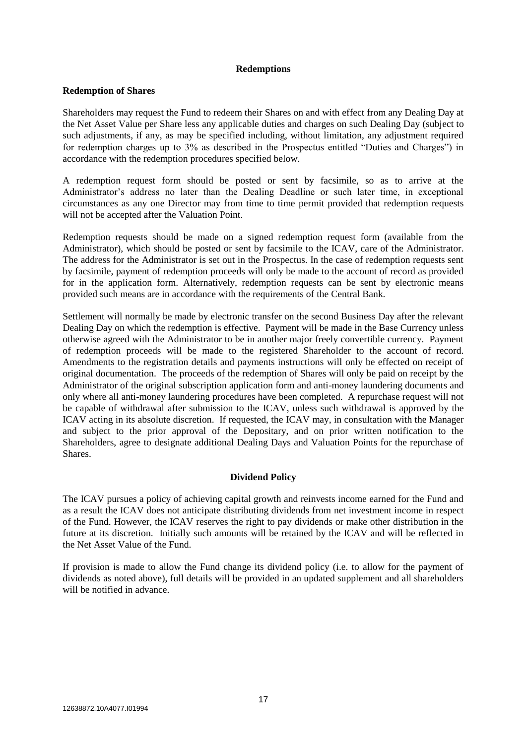#### **Redemptions**

#### **Redemption of Shares**

Shareholders may request the Fund to redeem their Shares on and with effect from any Dealing Day at the Net Asset Value per Share less any applicable duties and charges on such Dealing Day (subject to such adjustments, if any, as may be specified including, without limitation, any adjustment required for redemption charges up to 3% as described in the Prospectus entitled "Duties and Charges") in accordance with the redemption procedures specified below.

A redemption request form should be posted or sent by facsimile, so as to arrive at the Administrator's address no later than the Dealing Deadline or such later time, in exceptional circumstances as any one Director may from time to time permit provided that redemption requests will not be accepted after the Valuation Point.

Redemption requests should be made on a signed redemption request form (available from the Administrator), which should be posted or sent by facsimile to the ICAV, care of the Administrator. The address for the Administrator is set out in the Prospectus. In the case of redemption requests sent by facsimile, payment of redemption proceeds will only be made to the account of record as provided for in the application form. Alternatively, redemption requests can be sent by electronic means provided such means are in accordance with the requirements of the Central Bank.

Settlement will normally be made by electronic transfer on the second Business Day after the relevant Dealing Day on which the redemption is effective. Payment will be made in the Base Currency unless otherwise agreed with the Administrator to be in another major freely convertible currency. Payment of redemption proceeds will be made to the registered Shareholder to the account of record. Amendments to the registration details and payments instructions will only be effected on receipt of original documentation. The proceeds of the redemption of Shares will only be paid on receipt by the Administrator of the original subscription application form and anti-money laundering documents and only where all anti-money laundering procedures have been completed. A repurchase request will not be capable of withdrawal after submission to the ICAV, unless such withdrawal is approved by the ICAV acting in its absolute discretion. If requested, the ICAV may, in consultation with the Manager and subject to the prior approval of the Depositary, and on prior written notification to the Shareholders, agree to designate additional Dealing Days and Valuation Points for the repurchase of Shares.

#### **Dividend Policy**

The ICAV pursues a policy of achieving capital growth and reinvests income earned for the Fund and as a result the ICAV does not anticipate distributing dividends from net investment income in respect of the Fund. However, the ICAV reserves the right to pay dividends or make other distribution in the future at its discretion. Initially such amounts will be retained by the ICAV and will be reflected in the Net Asset Value of the Fund.

If provision is made to allow the Fund change its dividend policy (i.e. to allow for the payment of dividends as noted above), full details will be provided in an updated supplement and all shareholders will be notified in advance.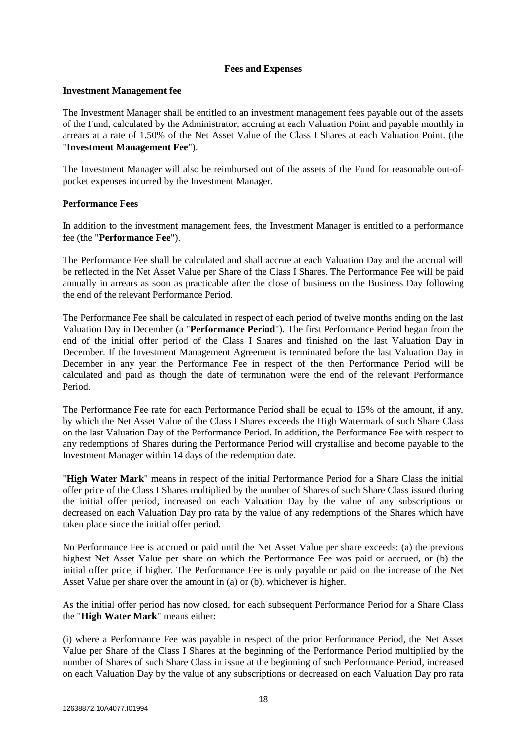#### **Fees and Expenses**

#### **Investment Management fee**

The Investment Manager shall be entitled to an investment management fees payable out of the assets of the Fund, calculated by the Administrator, accruing at each Valuation Point and payable monthly in arrears at a rate of 1.50% of the Net Asset Value of the Class I Shares at each Valuation Point. (the "**Investment Management Fee**").

The Investment Manager will also be reimbursed out of the assets of the Fund for reasonable out-ofpocket expenses incurred by the Investment Manager.

#### **Performance Fees**

In addition to the investment management fees, the Investment Manager is entitled to a performance fee (the "**Performance Fee**").

The Performance Fee shall be calculated and shall accrue at each Valuation Day and the accrual will be reflected in the Net Asset Value per Share of the Class I Shares. The Performance Fee will be paid annually in arrears as soon as practicable after the close of business on the Business Day following the end of the relevant Performance Period.

The Performance Fee shall be calculated in respect of each period of twelve months ending on the last Valuation Day in December (a "**Performance Period**"). The first Performance Period began from the end of the initial offer period of the Class I Shares and finished on the last Valuation Day in December. If the Investment Management Agreement is terminated before the last Valuation Day in December in any year the Performance Fee in respect of the then Performance Period will be calculated and paid as though the date of termination were the end of the relevant Performance Period.

The Performance Fee rate for each Performance Period shall be equal to 15% of the amount, if any, by which the Net Asset Value of the Class I Shares exceeds the High Watermark of such Share Class on the last Valuation Day of the Performance Period. In addition, the Performance Fee with respect to any redemptions of Shares during the Performance Period will crystallise and become payable to the Investment Manager within 14 days of the redemption date.

"**High Water Mark**" means in respect of the initial Performance Period for a Share Class the initial offer price of the Class I Shares multiplied by the number of Shares of such Share Class issued during the initial offer period, increased on each Valuation Day by the value of any subscriptions or decreased on each Valuation Day pro rata by the value of any redemptions of the Shares which have taken place since the initial offer period.

No Performance Fee is accrued or paid until the Net Asset Value per share exceeds: (a) the previous highest Net Asset Value per share on which the Performance Fee was paid or accrued, or (b) the initial offer price, if higher. The Performance Fee is only payable or paid on the increase of the Net Asset Value per share over the amount in (a) or (b), whichever is higher.

As the initial offer period has now closed, for each subsequent Performance Period for a Share Class the "**High Water Mark**" means either:

(i) where a Performance Fee was payable in respect of the prior Performance Period, the Net Asset Value per Share of the Class I Shares at the beginning of the Performance Period multiplied by the number of Shares of such Share Class in issue at the beginning of such Performance Period, increased on each Valuation Day by the value of any subscriptions or decreased on each Valuation Day pro rata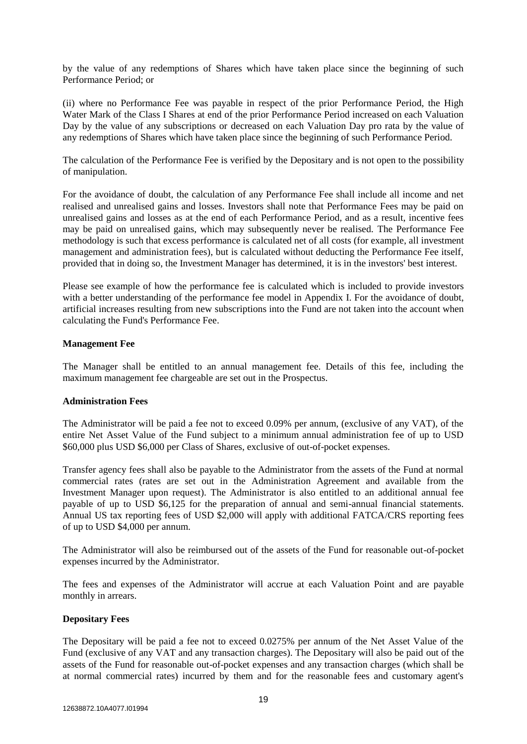by the value of any redemptions of Shares which have taken place since the beginning of such Performance Period; or

(ii) where no Performance Fee was payable in respect of the prior Performance Period, the High Water Mark of the Class I Shares at end of the prior Performance Period increased on each Valuation Day by the value of any subscriptions or decreased on each Valuation Day pro rata by the value of any redemptions of Shares which have taken place since the beginning of such Performance Period.

The calculation of the Performance Fee is verified by the Depositary and is not open to the possibility of manipulation.

For the avoidance of doubt, the calculation of any Performance Fee shall include all income and net realised and unrealised gains and losses. Investors shall note that Performance Fees may be paid on unrealised gains and losses as at the end of each Performance Period, and as a result, incentive fees may be paid on unrealised gains, which may subsequently never be realised. The Performance Fee methodology is such that excess performance is calculated net of all costs (for example, all investment management and administration fees), but is calculated without deducting the Performance Fee itself, provided that in doing so, the Investment Manager has determined, it is in the investors' best interest.

Please see example of how the performance fee is calculated which is included to provide investors with a better understanding of the performance fee model in Appendix I. For the avoidance of doubt, artificial increases resulting from new subscriptions into the Fund are not taken into the account when calculating the Fund's Performance Fee.

#### **Management Fee**

The Manager shall be entitled to an annual management fee. Details of this fee, including the maximum management fee chargeable are set out in the Prospectus.

#### **Administration Fees**

The Administrator will be paid a fee not to exceed 0.09% per annum, (exclusive of any VAT), of the entire Net Asset Value of the Fund subject to a minimum annual administration fee of up to USD \$60,000 plus USD \$6,000 per Class of Shares, exclusive of out-of-pocket expenses.

Transfer agency fees shall also be payable to the Administrator from the assets of the Fund at normal commercial rates (rates are set out in the Administration Agreement and available from the Investment Manager upon request). The Administrator is also entitled to an additional annual fee payable of up to USD \$6,125 for the preparation of annual and semi-annual financial statements. Annual US tax reporting fees of USD \$2,000 will apply with additional FATCA/CRS reporting fees of up to USD \$4,000 per annum.

The Administrator will also be reimbursed out of the assets of the Fund for reasonable out-of-pocket expenses incurred by the Administrator.

The fees and expenses of the Administrator will accrue at each Valuation Point and are payable monthly in arrears.

#### **Depositary Fees**

The Depositary will be paid a fee not to exceed 0.0275% per annum of the Net Asset Value of the Fund (exclusive of any VAT and any transaction charges). The Depositary will also be paid out of the assets of the Fund for reasonable out-of-pocket expenses and any transaction charges (which shall be at normal commercial rates) incurred by them and for the reasonable fees and customary agent's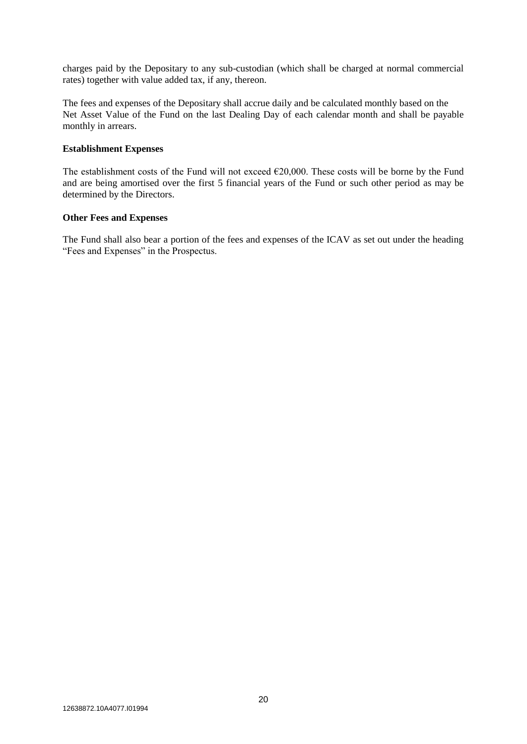charges paid by the Depositary to any sub-custodian (which shall be charged at normal commercial rates) together with value added tax, if any, thereon.

The fees and expenses of the Depositary shall accrue daily and be calculated monthly based on the Net Asset Value of the Fund on the last Dealing Day of each calendar month and shall be payable monthly in arrears.

#### **Establishment Expenses**

The establishment costs of the Fund will not exceed  $\epsilon$ 20,000. These costs will be borne by the Fund and are being amortised over the first 5 financial years of the Fund or such other period as may be determined by the Directors.

#### **Other Fees and Expenses**

The Fund shall also bear a portion of the fees and expenses of the ICAV as set out under the heading "Fees and Expenses" in the Prospectus.